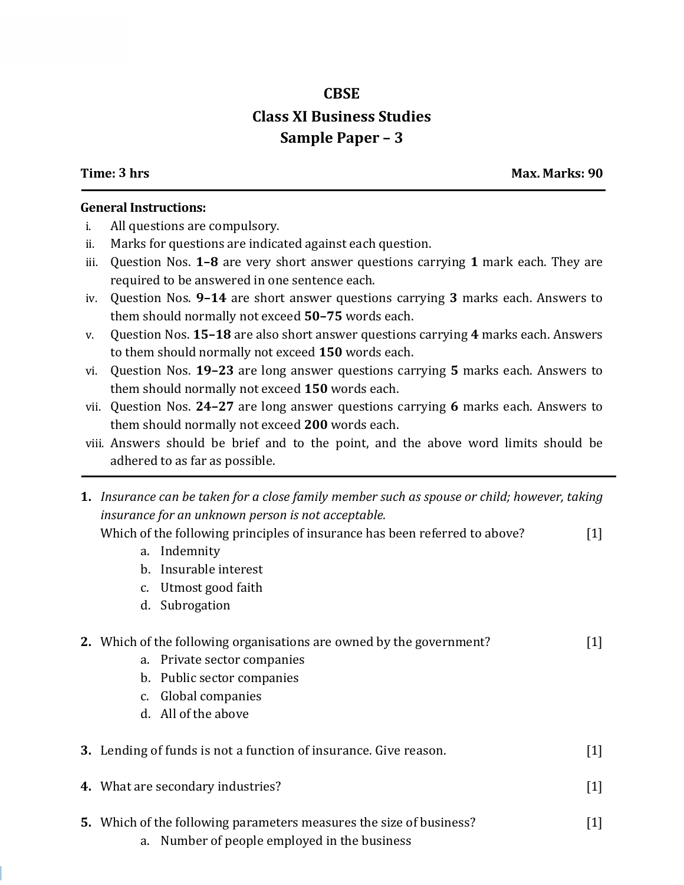## **CBSE Class XI Business Studies Sample Paper – 3**

**Time: 3 hrs Max. Marks: 90**

## **General Instructions:**

- i. All questions are compulsory.
- ii. Marks for questions are indicated against each question.
- iii. Question Nos. **1–8** are very short answer questions carrying **1** mark each. They are required to be answered in one sentence each.
- iv. Question Nos. **9–14** are short answer questions carrying **3** marks each. Answers to them should normally not exceed **50–75** words each.
- v. Question Nos. **15–18** are also short answer questions carrying **4** marks each. Answers to them should normally not exceed **150** words each.
- vi. Question Nos. **19–23** are long answer questions carrying **5** marks each. Answers to them should normally not exceed **150** words each.
- vii. Question Nos. **24–27** are long answer questions carrying **6** marks each. Answers to them should normally not exceed **200** words each.
- viii. Answers should be brief and to the point, and the above word limits should be adhered to as far as possible.
- **1.** *Insurance can be taken for a close family member such as spouse or child; however, taking insurance for an unknown person is not acceptable.* Which of the following principles of insurance has been referred to above? [1] a. Indemnity
	- b. Insurable interest
	- c. Utmost good faith
	- d. Subrogation

## **2.** Which of the following organisations are owned by the government? [1]

- a. Private sector companies
- b. Public sector companies
- c. Global companies
- d. All of the above

|  | 3. Lending of funds is not a function of insurance. Give reason. |  |
|--|------------------------------------------------------------------|--|
|--|------------------------------------------------------------------|--|

- **4.** What are secondary industries? [1]
	-
- **5.** Which of the following parameters measures the size of business? [1]
	- a. Number of people employed in the business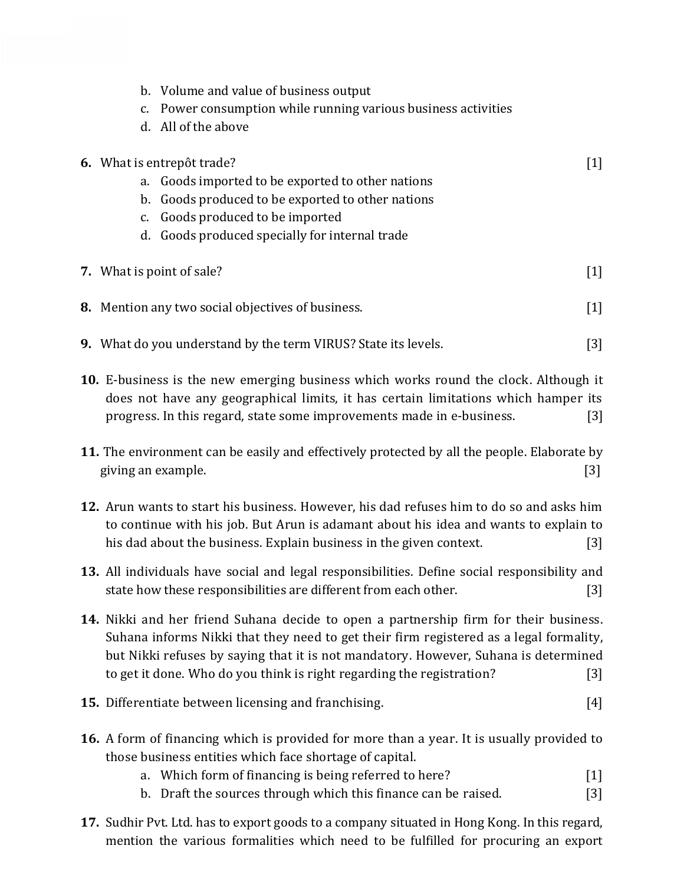| c.                                                                                          | b. Volume and value of business output<br>Power consumption while running various business activities<br>d. All of the above                                                                                                                        |                   |
|---------------------------------------------------------------------------------------------|-----------------------------------------------------------------------------------------------------------------------------------------------------------------------------------------------------------------------------------------------------|-------------------|
|                                                                                             | 6. What is entrepôt trade?                                                                                                                                                                                                                          | $[1]$             |
|                                                                                             | a. Goods imported to be exported to other nations                                                                                                                                                                                                   |                   |
|                                                                                             | b. Goods produced to be exported to other nations                                                                                                                                                                                                   |                   |
|                                                                                             | c. Goods produced to be imported                                                                                                                                                                                                                    |                   |
|                                                                                             | d. Goods produced specially for internal trade                                                                                                                                                                                                      |                   |
|                                                                                             | 7. What is point of sale?                                                                                                                                                                                                                           | $\lceil 1 \rceil$ |
|                                                                                             | <b>8.</b> Mention any two social objectives of business.                                                                                                                                                                                            | $[1]$             |
|                                                                                             | 9. What do you understand by the term VIRUS? State its levels.                                                                                                                                                                                      | $[3]$             |
|                                                                                             | 10. E-business is the new emerging business which works round the clock. Although it<br>does not have any geographical limits, it has certain limitations which hamper its<br>progress. In this regard, state some improvements made in e-business. | $\lceil 3 \rceil$ |
| 11. The environment can be easily and effectively protected by all the people. Elaborate by |                                                                                                                                                                                                                                                     |                   |
| giving an example.                                                                          |                                                                                                                                                                                                                                                     | [3]               |

- **12.** Arun wants to start his business. However, his dad refuses him to do so and asks him to continue with his job. But Arun is adamant about his idea and wants to explain to his dad about the business. Explain business in the given context. [3]
- **13.** All individuals have social and legal responsibilities. Define social responsibility and state how these responsibilities are different from each other. [3]
- **14.** Nikki and her friend Suhana decide to open a partnership firm for their business. Suhana informs Nikki that they need to get their firm registered as a legal formality, but Nikki refuses by saying that it is not mandatory. However, Suhana is determined to get it done. Who do you think is right regarding the registration? [3]

## **15.** Differentiate between licensing and franchising. [4]

- **16.** A form of financing which is provided for more than a year. It is usually provided to those business entities which face shortage of capital.
	- a. Which form of financing is being referred to here? [1]
	- b. Draft the sources through which this finance can be raised. [3]
- **17.** Sudhir Pvt. Ltd. has to export goods to a company situated in Hong Kong. In this regard, mention the various formalities which need to be fulfilled for procuring an export